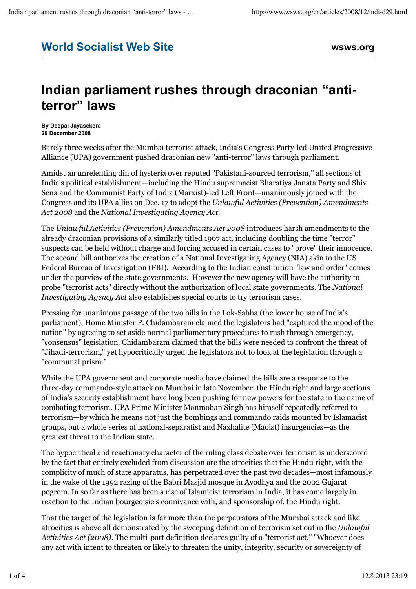## **World Socialist Web Site wsws.org**

## **Indian parliament rushes through draconian "antiterror" laws**

**By Deepal Jayasekera 29 December 2008**

Barely three weeks after the Mumbai terrorist attack, India's Congress Party-led United Progressive Alliance (UPA) government pushed draconian new "anti-terror" laws through parliament.

Amidst an unrelenting din of hysteria over reputed "Pakistani-sourced terrorism," all sections of India's political establishment—including the Hindu supremacist Bharatiya Janata Party and Shiv Sena and the Communist Party of India (Marxist)-led Left Front—unanimously joined with the Congress and its UPA allies on Dec. 17 to adopt the *Unlawful Activities (Prevention) Amendments Act 2008* and the *National Investigating Agency Act.*

The *Unlawful Activities (Prevention) Amendments Act 2008* introduces harsh amendments to the already draconian provisions of a similarly titled 1967 act, including doubling the time "terror" suspects can be held without charge and forcing accused in certain cases to "prove" their innocence. The second bill authorizes the creation of a National Investigating Agency (NIA) akin to the US Federal Bureau of Investigation (FBI). According to the Indian constitution "law and order" comes under the purview of the state governments. However the new agency will have the authority to probe "terrorist acts" directly without the authorization of local state governments. The *National Investigating Agency Act* also establishes special courts to try terrorism cases.

Pressing for unanimous passage of the two bills in the Lok-Sabha (the lower house of India's parliament), Home Minister P. Chidambaram claimed the legislators had "captured the mood of the nation" by agreeing to set aside normal parliamentary procedures to rush through emergency, "consensus" legislation. Chidambaram claimed that the bills were needed to confront the threat of "Jihadi-terrorism," yet hypocritically urged the legislators not to look at the legislation through a "communal prism."

While the UPA government and corporate media have claimed the bills are a response to the three-day commando-style attack on Mumbai in late November, the Hindu right and large sections of India's security establishment have long been pushing for new powers for the state in the name of combating terrorism. UPA Prime Minister Manmohan Singh has himself repeatedly referred to terrorism—by which he means not just the bombings and commando raids mounted by Islamacist groups, but a whole series of national-separatist and Naxhalite (Maoist) insurgencies—as the greatest threat to the Indian state.

The hypocritical and reactionary character of the ruling class debate over terrorism is underscored by the fact that entirely excluded from discussion are the atrocities that the Hindu right, with the complicity of much of state apparatus, has perpetrated over the past two decades—most infamously in the wake of the 1992 razing of the Babri Masjid mosque in Ayodhya and the 2002 Gujarat pogrom. In so far as there has been a rise of Islamicist terrorism in India, it has come largely in reaction to the Indian bourgeoisie's connivance with, and sponsorship of, the Hindu right.

That the target of the legislation is far more than the perpetrators of the Mumbai attack and like atrocities is above all demonstrated by the sweeping definition of terrorism set out in the *Unlawful Activities Act (2008)*. The multi-part definition declares guilty of a "terrorist act," "Whoever does any act with intent to threaten or likely to threaten the unity, integrity, security or sovereignty of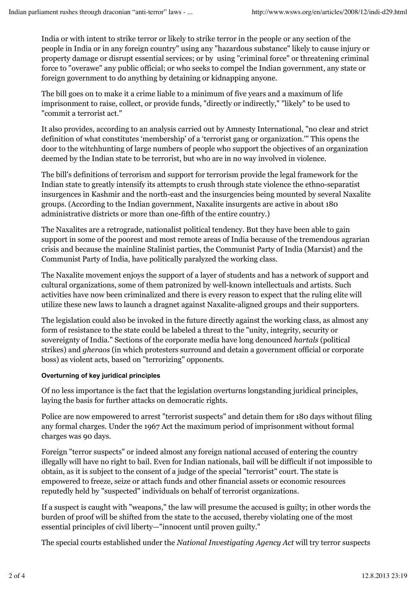India or with intent to strike terror or likely to strike terror in the people or any section of the people in India or in any foreign country" using any "hazardous substance" likely to cause injury or property damage or disrupt essential services; or by using "criminal force" or threatening criminal force to "overawe" any public official; or who seeks to compel the Indian government, any state or foreign government to do anything by detaining or kidnapping anyone.

The bill goes on to make it a crime liable to a minimum of five years and a maximum of life imprisonment to raise, collect, or provide funds, "directly or indirectly," "likely" to be used to "commit a terrorist act."

It also provides, according to an analysis carried out by Amnesty International, "no clear and strict definition of what constitutes 'membership' of a 'terrorist gang or organization.'" This opens the door to the witchhunting of large numbers of people who support the objectives of an organization deemed by the Indian state to be terrorist, but who are in no way involved in violence.

The bill's definitions of terrorism and support for terrorism provide the legal framework for the Indian state to greatly intensify its attempts to crush through state violence the ethno-separatist insurgences in Kashmir and the north-east and the insurgencies being mounted by several Naxalite groups. (According to the Indian government, Naxalite insurgents are active in about 180 administrative districts or more than one-fifth of the entire country.)

The Naxalites are a retrograde, nationalist political tendency. But they have been able to gain support in some of the poorest and most remote areas of India because of the tremendous agrarian crisis and because the mainline Stalinist parties, the Communist Party of India (Marxist) and the Communist Party of India, have politically paralyzed the working class.

The Naxalite movement enjoys the support of a layer of students and has a network of support and cultural organizations, some of them patronized by well-known intellectuals and artists. Such activities have now been criminalized and there is every reason to expect that the ruling elite will utilize these new laws to launch a dragnet against Naxalite-aligned groups and their supporters.

The legislation could also be invoked in the future directly against the working class, as almost any form of resistance to the state could be labeled a threat to the "unity, integrity, security or sovereignty of India." Sections of the corporate media have long denounced *hartals* (political strikes) and *gheraos* (in which protesters surround and detain a government official or corporate boss) as violent acts, based on "terrorizing" opponents.

## **Overturning of key juridical principles**

Of no less importance is the fact that the legislation overturns longstanding juridical principles, laying the basis for further attacks on democratic rights.

Police are now empowered to arrest "terrorist suspects" and detain them for 180 days without filing any formal charges. Under the 1967 Act the maximum period of imprisonment without formal charges was 90 days.

Foreign "terror suspects" or indeed almost any foreign national accused of entering the country illegally will have no right to bail. Even for Indian nationals, bail will be difficult if not impossible to obtain, as it is subject to the consent of a judge of the special "terrorist" court. The state is empowered to freeze, seize or attach funds and other financial assets or economic resources reputedly held by "suspected" individuals on behalf of terrorist organizations.

If a suspect is caught with "weapons," the law will presume the accused is guilty; in other words the burden of proof will be shifted from the state to the accused, thereby violating one of the most essential principles of civil liberty—"innocent until proven guilty."

The special courts established under the *National Investigating Agency Act* will try terror suspects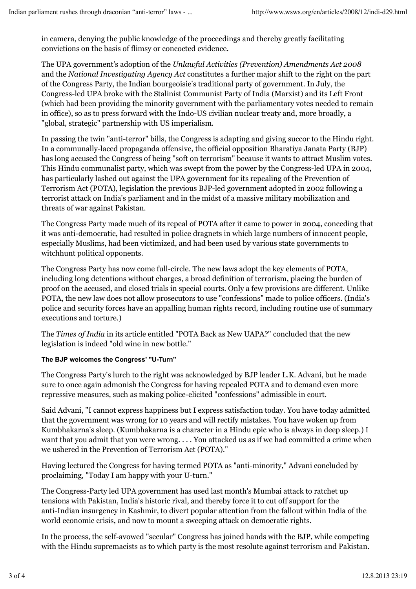in camera, denying the public knowledge of the proceedings and thereby greatly facilitating convictions on the basis of flimsy or concocted evidence.

The UPA government's adoption of the *Unlawful Activities (Prevention) Amendments Act 2008* and the *National Investigating Agency Act* constitutes a further major shift to the right on the part of the Congress Party, the Indian bourgeoisie's traditional party of government. In July, the Congress-led UPA broke with the Stalinist Communist Party of India (Marxist) and its Left Front (which had been providing the minority government with the parliamentary votes needed to remain in office), so as to press forward with the Indo-US civilian nuclear treaty and, more broadly, a "global, strategic" partnership with US imperialism.

In passing the twin "anti-terror" bills, the Congress is adapting and giving succor to the Hindu right. In a communally-laced propaganda offensive, the official opposition Bharatiya Janata Party (BJP) has long accused the Congress of being "soft on terrorism" because it wants to attract Muslim votes. This Hindu communalist party, which was swept from the power by the Congress-led UPA in 2004, has particularly lashed out against the UPA government for its repealing of the Prevention of Terrorism Act (POTA), legislation the previous BJP-led government adopted in 2002 following a terrorist attack on India's parliament and in the midst of a massive military mobilization and threats of war against Pakistan.

The Congress Party made much of its repeal of POTA after it came to power in 2004, conceding that it was anti-democratic, had resulted in police dragnets in which large numbers of innocent people, especially Muslims, had been victimized, and had been used by various state governments to witchhunt political opponents.

The Congress Party has now come full-circle. The new laws adopt the key elements of POTA, including long detentions without charges, a broad definition of terrorism, placing the burden of proof on the accused, and closed trials in special courts. Only a few provisions are different. Unlike POTA, the new law does not allow prosecutors to use "confessions" made to police officers. (India's police and security forces have an appalling human rights record, including routine use of summary executions and torture.)

The *Times of India* in its article entitled "POTA Back as New UAPA?" concluded that the new legislation is indeed "old wine in new bottle."

## **The BJP welcomes the Congress' "U-Turn"**

The Congress Party's lurch to the right was acknowledged by BJP leader L.K. Advani, but he made sure to once again admonish the Congress for having repealed POTA and to demand even more repressive measures, such as making police-elicited "confessions" admissible in court.

Said Advani, "I cannot express happiness but I express satisfaction today. You have today admitted that the government was wrong for 10 years and will rectify mistakes. You have woken up from Kumbhakarna's sleep. (Kumbhakarna is a character in a Hindu epic who is always in deep sleep.) I want that you admit that you were wrong. . . . You attacked us as if we had committed a crime when we ushered in the Prevention of Terrorism Act (POTA)."

Having lectured the Congress for having termed POTA as "anti-minority," Advani concluded by proclaiming, "Today I am happy with your U-turn."

The Congress-Party led UPA government has used last month's Mumbai attack to ratchet up tensions with Pakistan, India's historic rival, and thereby force it to cut off support for the anti-Indian insurgency in Kashmir, to divert popular attention from the fallout within India of the world economic crisis, and now to mount a sweeping attack on democratic rights.

In the process, the self-avowed "secular" Congress has joined hands with the BJP, while competing with the Hindu supremacists as to which party is the most resolute against terrorism and Pakistan.